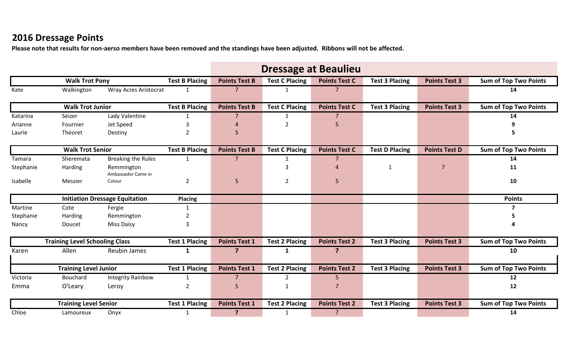## **2016 Dressage Points**

**Please note that results for non-aerso members have been removed and the standings have been adjusted. Ribbons will not be affected.**

|           |                                       |                                  |                       | <b>Dressage at Beaulieu</b> |                       |                            |                       |                      |                              |  |
|-----------|---------------------------------------|----------------------------------|-----------------------|-----------------------------|-----------------------|----------------------------|-----------------------|----------------------|------------------------------|--|
|           | <b>Walk Trot Pony</b>                 |                                  | <b>Test B Placing</b> | <b>Points Test B</b>        | <b>Test C Placing</b> | <b>Points Test C</b>       | <b>Test 3 Placing</b> | <b>Points Test 3</b> | <b>Sum of Top Two Points</b> |  |
| Kate      | Walkington                            | <b>Wray Acres Aristocrat</b>     | 1                     | $\overline{7}$              | 1                     | 7                          |                       |                      | 14                           |  |
|           | <b>Walk Trot Junior</b>               |                                  | <b>Test B Placing</b> | <b>Points Test B</b>        | <b>Test C Placing</b> | <b>Points Test C</b>       | <b>Test 3 Placing</b> | <b>Points Test 3</b> | <b>Sum of Top Two Points</b> |  |
| Katarina  | Seizer                                | Lady Valentine                   | $\mathbf{1}$          | 7                           | $\mathbf{1}$          | 7                          |                       |                      | 14                           |  |
| Arianne   | Fournier                              | Jet Speed                        | 3                     |                             | 2                     | 5                          |                       |                      |                              |  |
| Laurie    | Théoret                               | Destiny                          | $\overline{2}$        | 5                           |                       |                            |                       |                      | 5                            |  |
|           | <b>Walk Trot Senior</b>               |                                  | <b>Test B Placing</b> | <b>Points Test B</b>        | <b>Test C Placing</b> | <b>Points Test C</b>       | <b>Test D Placing</b> | <b>Points Test D</b> | <b>Sum of Top Two Points</b> |  |
| Tamara    | Sheremata                             | <b>Breaking the Rules</b>        | 1                     | $\overline{7}$              | 1                     | 7                          |                       |                      | 14                           |  |
| Stephanie | Harding                               | Remmington<br>Ambassador Came in |                       |                             |                       | $\boldsymbol{\mathcal{A}}$ | 1                     | $\overline{7}$       | 11                           |  |
| Isabelle  | Messier                               | Colour                           | $\overline{2}$        | 5                           | $\overline{2}$        | 5                          |                       |                      | 10                           |  |
|           | <b>Initiation Dressage Equitation</b> |                                  | <b>Placing</b>        |                             |                       |                            |                       |                      | <b>Points</b>                |  |
| Martine   | Cote                                  | Fergie                           |                       |                             |                       |                            |                       |                      |                              |  |
| Stephanie | Harding                               | Remmington                       |                       |                             |                       |                            |                       |                      |                              |  |
| Nancy     | Doucet                                | <b>Miss Daisy</b>                | 3                     |                             |                       |                            |                       |                      |                              |  |
|           | <b>Training Level Schooling Class</b> |                                  | <b>Test 1 Placing</b> | <b>Points Test 1</b>        | <b>Test 2 Placing</b> | <b>Points Test 2</b>       | <b>Test 3 Placing</b> | <b>Points Test 3</b> | <b>Sum of Top Two Points</b> |  |
| Karen     | Allen                                 | <b>Reubin James</b>              | $\mathbf{1}$          | $\overline{7}$              | 1                     | $\overline{\mathbf{z}}$    |                       |                      | 10                           |  |
|           | <b>Training Level Junior</b>          |                                  | <b>Test 1 Placing</b> | <b>Points Test 1</b>        | <b>Test 2 Placing</b> | <b>Points Test 2</b>       | <b>Test 3 Placing</b> | <b>Points Test 3</b> | <b>Sum of Top Two Points</b> |  |
| Victoria  | Bouchard                              | <b>Integrity Rainbow</b>         | 1                     | 7                           | $\overline{2}$        | 5                          |                       |                      | 12                           |  |
| Emma      | O'Leary                               | Leroy                            | $\overline{2}$        | 5                           | $\mathbf 1$           | 7                          |                       |                      | 12                           |  |
|           | <b>Training Level Senior</b>          |                                  | <b>Test 1 Placing</b> | <b>Points Test 1</b>        | <b>Test 2 Placing</b> | <b>Points Test 2</b>       | <b>Test 3 Placing</b> | <b>Points Test 3</b> | <b>Sum of Top Two Points</b> |  |
| Chloe     | Lamoureux                             | Onyx                             | 1                     | $\overline{7}$              | 1                     | $\overline{7}$             |                       |                      | 14                           |  |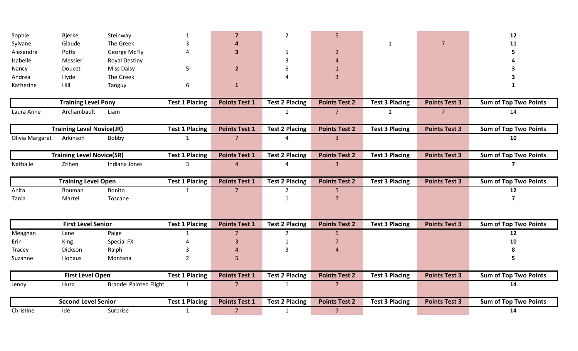| Sophie          | <b>Bjerke</b>                    | Steinway                      |                       | 7                    | $\overline{2}$        | 5                    |                       |                      | 12                           |
|-----------------|----------------------------------|-------------------------------|-----------------------|----------------------|-----------------------|----------------------|-----------------------|----------------------|------------------------------|
| Sylvane         | Glaude                           | The Greek                     | 3                     |                      |                       |                      | 1                     | $\overline{7}$       | 11                           |
| Alexandra       | Potts                            | George McFly                  |                       | 3                    | 5                     | 2                    |                       |                      |                              |
| Isabelle        | Messier                          | <b>Royal Destiny</b>          |                       |                      | 3                     |                      |                       |                      |                              |
| Nancy           | Doucet                           | <b>Miss Daisy</b>             | 5                     | $\mathbf{2}$         | 6                     |                      |                       |                      |                              |
| Andrea          | Hyde                             | The Greek                     |                       |                      |                       | 3                    |                       |                      |                              |
| Katherine       | Hill                             | Tanguy                        | 6                     | $\mathbf{1}$         |                       |                      |                       |                      |                              |
|                 | <b>Training Level Pony</b>       |                               | <b>Test 1 Placing</b> | <b>Points Test 1</b> | <b>Test 2 Placing</b> | <b>Points Test 2</b> | <b>Test 3 Placing</b> | <b>Points Test 3</b> | Sum of Top Two Points        |
| Laura Anne      | Archambault                      | Liam                          |                       |                      | $\mathbf{1}$          | $\overline{7}$       | $\mathbf{1}$          | 7 <sup>7</sup>       | 14                           |
|                 | <b>Training Level Novice(JR)</b> |                               | <b>Test 1 Placing</b> | <b>Points Test 1</b> | <b>Test 2 Placing</b> | <b>Points Test 2</b> | <b>Test 3 Placing</b> | <b>Points Test 3</b> | Sum of Top Two Points        |
| Olivia Margaret | Arkinson                         | Bobby                         | $\mathbf{1}$          | $7^{\circ}$          | 4                     | $\overline{3}$       |                       |                      | 10                           |
|                 | <b>Training Level Novice(SR)</b> |                               | <b>Test 1 Placing</b> | <b>Points Test 1</b> | <b>Test 2 Placing</b> | <b>Points Test 2</b> | <b>Test 3 Placing</b> | <b>Points Test 3</b> | <b>Sum of Top Two Points</b> |
| Nathalie        | Zrihen                           | Indiana Jones                 | 3                     | $\overline{4}$       | 4                     | $\overline{3}$       |                       |                      | $\overline{ }$               |
|                 | <b>Training Level Open</b>       |                               | <b>Test 1 Placing</b> | <b>Points Test 1</b> | <b>Test 2 Placing</b> | <b>Points Test 2</b> | <b>Test 3 Placing</b> | <b>Points Test 3</b> | <b>Sum of Top Two Points</b> |
| Anita           | Bouman                           | Bonito                        | $\mathbf{1}$          | 7 <sup>1</sup>       | $\overline{2}$        | 5                    |                       |                      | 12                           |
| Tania           | Martel                           | Toscane                       |                       |                      | $\mathbf{1}$          | 7                    |                       |                      | 7                            |
|                 | <b>First Level Senior</b>        |                               | <b>Test 1 Placing</b> | <b>Points Test 1</b> | <b>Test 2 Placing</b> | <b>Points Test 2</b> | <b>Test 3 Placing</b> | <b>Points Test 3</b> | <b>Sum of Top Two Points</b> |
| Meaghan         | Lane                             | Paige                         | 1                     | $\overline{7}$       | $\overline{2}$        | 5                    |                       |                      | 12                           |
| Erin            | King                             | Special FX                    |                       | 3                    | $\mathbf{1}$          | 7                    |                       |                      | 10                           |
| Tracey          | Dickson                          | Ralph                         |                       |                      | $\overline{3}$        |                      |                       |                      |                              |
| Suzanne         | Hohaus                           | Montana                       | $\overline{2}$        | 5                    |                       |                      |                       |                      | 5                            |
|                 | <b>First Level Open</b>          |                               | <b>Test 1 Placing</b> | <b>Points Test 1</b> | <b>Test 2 Placing</b> | <b>Points Test 2</b> | <b>Test 3 Placing</b> | <b>Points Test 3</b> | <b>Sum of Top Two Points</b> |
| Jenny           | Huza                             | <b>Brandel Painted Flight</b> | $\mathbf{1}$          |                      | $\mathbf{1}$          | $\overline{7}$       |                       |                      | 14                           |
|                 | <b>Second Level Senior</b>       |                               | <b>Test 1 Placing</b> | <b>Points Test 1</b> | <b>Test 2 Placing</b> | <b>Points Test 2</b> | <b>Test 3 Placing</b> | <b>Points Test 3</b> | <b>Sum of Top Two Points</b> |
| Christine       | Ide                              | Surprise                      | $\mathbf{1}$          | $\overline{7}$       | $\mathbf{1}$          | $\overline{7}$       |                       |                      | 14                           |